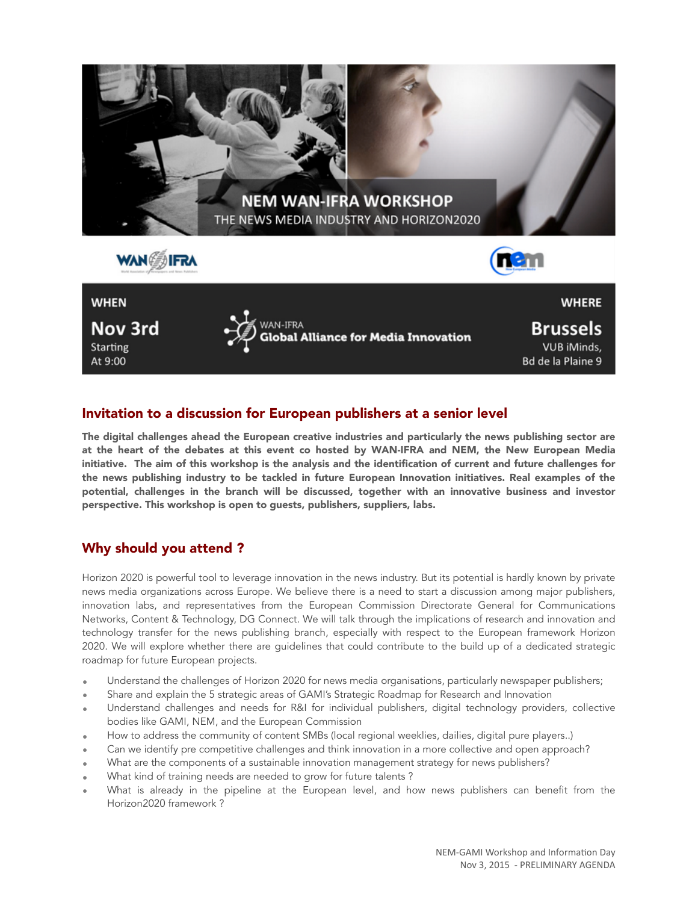

# Invitation to a discussion for European publishers at a senior level

The digital challenges ahead the European creative industries and particularly the news publishing sector are at the heart of the debates at this event co hosted by WAN-IFRA and NEM, the New European Media initiative. The aim of this workshop is the analysis and the identification of current and future challenges for the news publishing industry to be tackled in future European Innovation initiatives. Real examples of the potential, challenges in the branch will be discussed, together with an innovative business and investor perspective. This workshop is open to guests, publishers, suppliers, labs.

# Why should you attend ?

Horizon 2020 is powerful tool to leverage innovation in the news industry. But its potential is hardly known by private news media organizations across Europe. We believe there is a need to start a discussion among major publishers, innovation labs, and representatives from the European Commission Directorate General for Communications Networks, Content & Technology, DG Connect. We will talk through the implications of research and innovation and technology transfer for the news publishing branch, especially with respect to the European framework Horizon 2020. We will explore whether there are guidelines that could contribute to the build up of a dedicated strategic roadmap for future European projects.

- Understand the challenges of Horizon 2020 for news media organisations, particularly newspaper publishers;
- Share and explain the 5 strategic areas of GAMI's Strategic Roadmap for Research and Innovation
- Understand challenges and needs for R&I for individual publishers, digital technology providers, collective bodies like GAMI, NEM, and the European Commission
- How to address the community of content SMBs (local regional weeklies, dailies, digital pure players..)
- Can we identify pre competitive challenges and think innovation in a more collective and open approach?
- What are the components of a sustainable innovation management strategy for news publishers?
- What kind of training needs are needed to grow for future talents?
- What is already in the pipeline at the European level, and how news publishers can benefit from the Horizon2020 framework ?